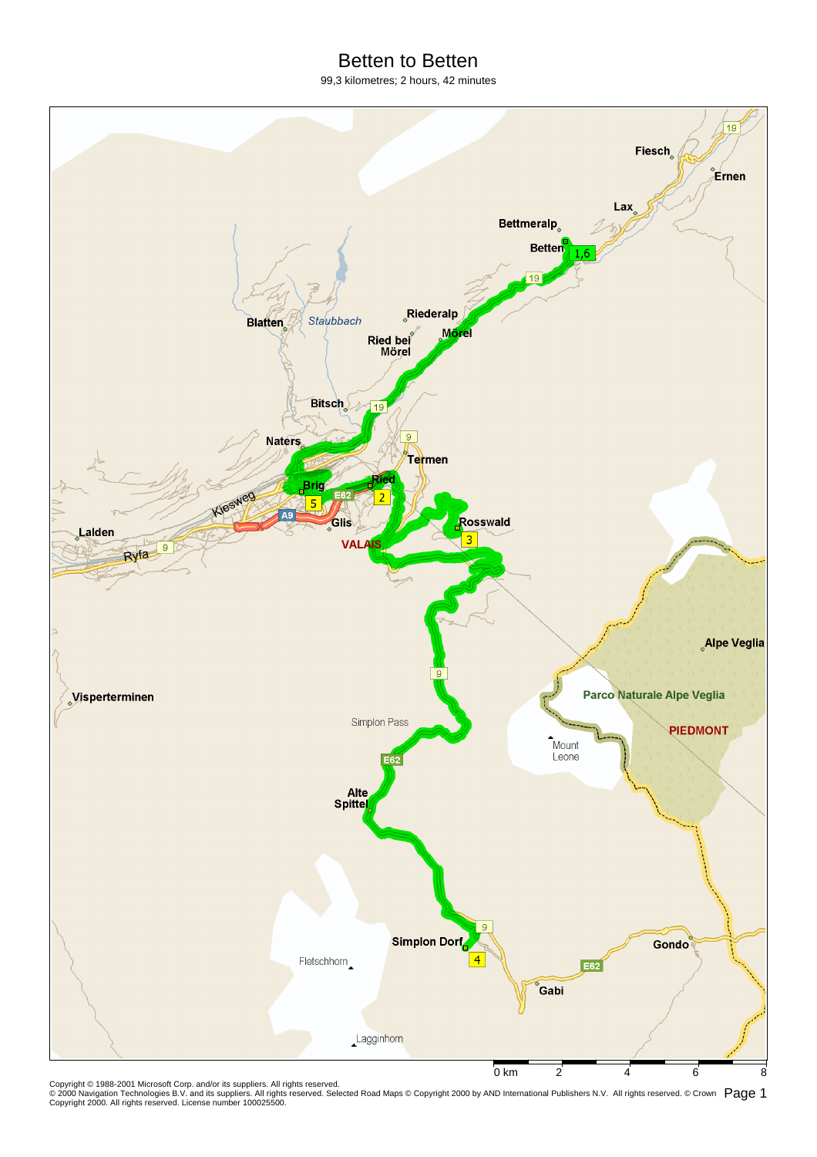## Betten to Betten

99,3 kilometres; 2 hours, 42 minutes



Copyright © 1988-2001 Microsoft Corp. and/or its suppliers. All rights reserved.<br>© 2000 Navigation Technologies B.V. and its suppliers. All rights reserved. Selected Road Maps © Copyright 2000 by AND International Publish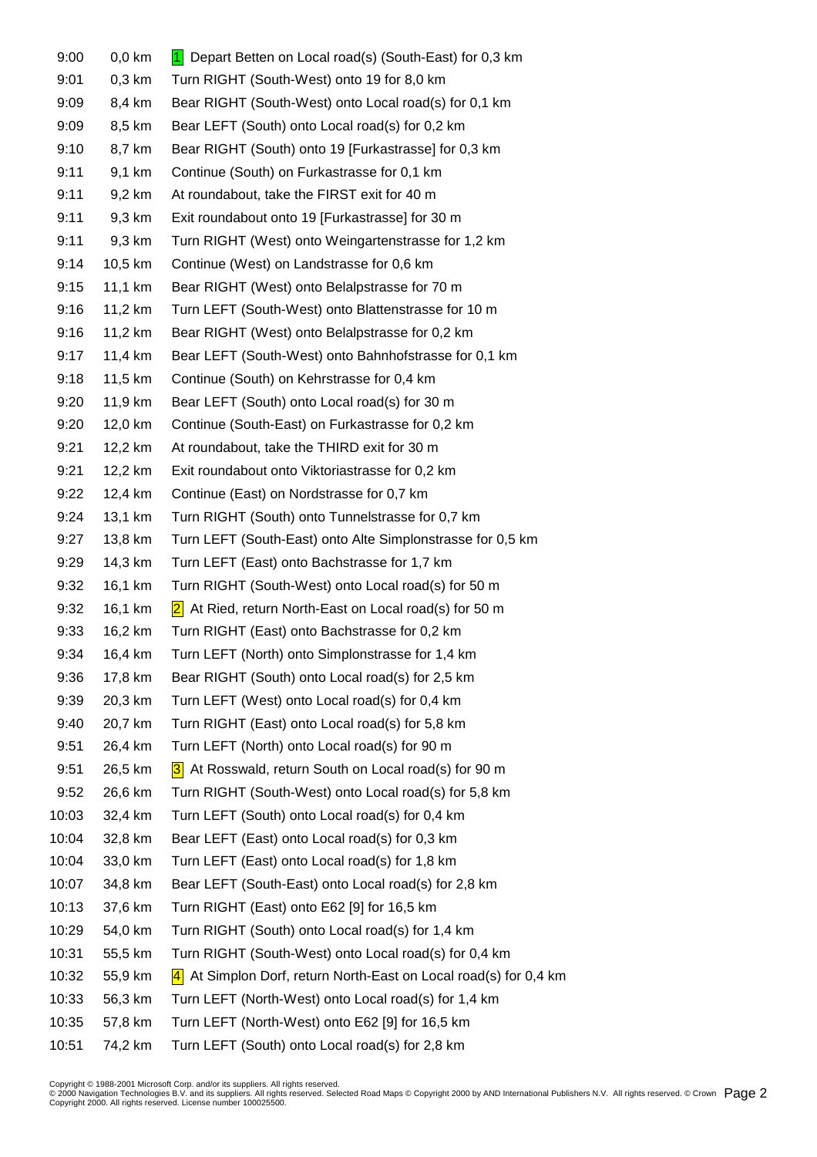| 9:00  | $0,0$ km | 1 Depart Betten on Local road(s) (South-East) for 0,3 km                  |
|-------|----------|---------------------------------------------------------------------------|
| 9:01  | $0,3$ km | Turn RIGHT (South-West) onto 19 for 8,0 km                                |
| 9:09  | 8,4 km   | Bear RIGHT (South-West) onto Local road(s) for 0,1 km                     |
| 9:09  | 8,5 km   | Bear LEFT (South) onto Local road(s) for 0,2 km                           |
| 9:10  | 8,7 km   | Bear RIGHT (South) onto 19 [Furkastrasse] for 0,3 km                      |
| 9:11  | 9,1 km   | Continue (South) on Furkastrasse for 0,1 km                               |
| 9:11  | 9,2 km   | At roundabout, take the FIRST exit for 40 m                               |
| 9:11  | 9,3 km   | Exit roundabout onto 19 [Furkastrasse] for 30 m                           |
| 9:11  | 9,3 km   | Turn RIGHT (West) onto Weingartenstrasse for 1,2 km                       |
| 9:14  | 10,5 km  | Continue (West) on Landstrasse for 0,6 km                                 |
| 9:15  | 11,1 km  | Bear RIGHT (West) onto Belalpstrasse for 70 m                             |
| 9:16  | 11,2 km  | Turn LEFT (South-West) onto Blattenstrasse for 10 m                       |
| 9:16  | 11,2 km  | Bear RIGHT (West) onto Belalpstrasse for 0,2 km                           |
| 9:17  | 11,4 km  | Bear LEFT (South-West) onto Bahnhofstrasse for 0,1 km                     |
| 9:18  | 11,5 km  | Continue (South) on Kehrstrasse for 0,4 km                                |
| 9:20  | 11,9 km  | Bear LEFT (South) onto Local road(s) for 30 m                             |
| 9:20  | 12,0 km  | Continue (South-East) on Furkastrasse for 0,2 km                          |
| 9:21  | 12,2 km  | At roundabout, take the THIRD exit for 30 m                               |
| 9:21  | 12,2 km  | Exit roundabout onto Viktoriastrasse for 0,2 km                           |
| 9:22  | 12,4 km  | Continue (East) on Nordstrasse for 0,7 km                                 |
| 9:24  | 13,1 km  | Turn RIGHT (South) onto Tunnelstrasse for 0,7 km                          |
| 9:27  | 13,8 km  | Turn LEFT (South-East) onto Alte Simplonstrasse for 0,5 km                |
| 9:29  | 14,3 km  | Turn LEFT (East) onto Bachstrasse for 1,7 km                              |
| 9:32  | 16,1 km  | Turn RIGHT (South-West) onto Local road(s) for 50 m                       |
| 9:32  | 16,1 km  | 2 <br>At Ried, return North-East on Local road(s) for 50 m                |
| 9:33  | 16,2 km  | Turn RIGHT (East) onto Bachstrasse for 0,2 km                             |
| 9:34  | 16,4 km  | Turn LEFT (North) onto Simplonstrasse for 1,4 km                          |
| 9:36  | 17,8 km  | Bear RIGHT (South) onto Local road(s) for 2,5 km                          |
| 9:39  | 20,3 km  | Turn LEFT (West) onto Local road(s) for 0,4 km                            |
| 9:40  | 20,7 km  | Turn RIGHT (East) onto Local road(s) for 5,8 km                           |
| 9:51  | 26,4 km  | Turn LEFT (North) onto Local road(s) for 90 m                             |
| 9:51  | 26,5 km  | 3 At Rosswald, return South on Local road(s) for 90 m                     |
| 9:52  | 26,6 km  | Turn RIGHT (South-West) onto Local road(s) for 5,8 km                     |
| 10:03 | 32,4 km  | Turn LEFT (South) onto Local road(s) for 0,4 km                           |
| 10:04 | 32,8 km  | Bear LEFT (East) onto Local road(s) for 0,3 km                            |
| 10:04 | 33,0 km  | Turn LEFT (East) onto Local road(s) for 1,8 km                            |
| 10:07 | 34,8 km  | Bear LEFT (South-East) onto Local road(s) for 2,8 km                      |
| 10:13 | 37,6 km  | Turn RIGHT (East) onto E62 [9] for 16,5 km                                |
| 10:29 | 54,0 km  | Turn RIGHT (South) onto Local road(s) for 1,4 km                          |
| 10:31 | 55,5 km  | Turn RIGHT (South-West) onto Local road(s) for 0,4 km                     |
| 10:32 | 55,9 km  | $\sqrt{4}$ At Simplon Dorf, return North-East on Local road(s) for 0,4 km |
| 10:33 | 56,3 km  | Turn LEFT (North-West) onto Local road(s) for 1,4 km                      |
| 10:35 | 57,8 km  | Turn LEFT (North-West) onto E62 [9] for 16,5 km                           |
| 10:51 | 74,2 km  | Turn LEFT (South) onto Local road(s) for 2,8 km                           |